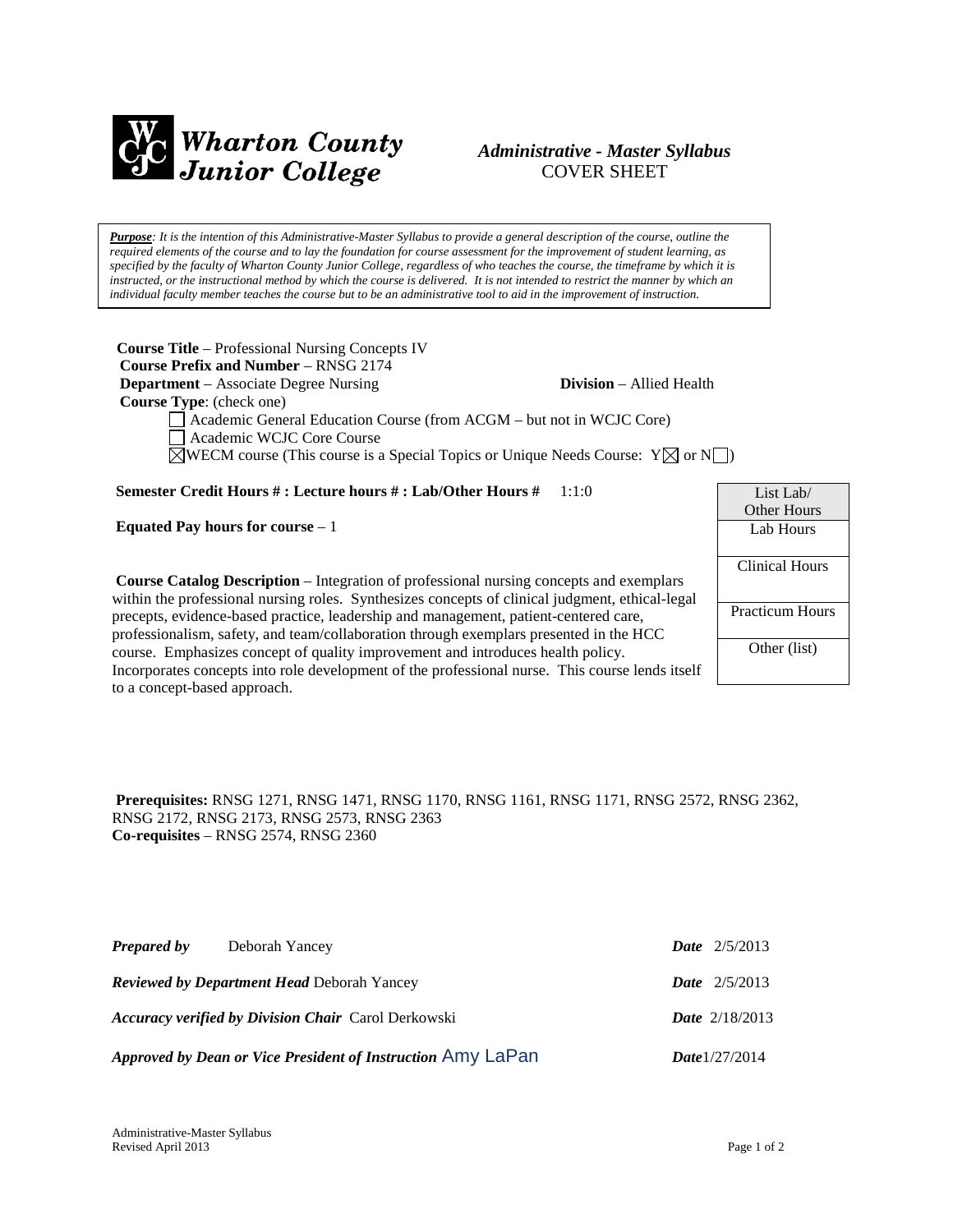

# *Administrative - Master Syllabus*  COVER SHEET

*Purpose: It is the intention of this Administrative-Master Syllabus to provide a general description of the course, outline the required elements of the course and to lay the foundation for course assessment for the improvement of student learning, as specified by the faculty of Wharton County Junior College, regardless of who teaches the course, the timeframe by which it is instructed, or the instructional method by which the course is delivered. It is not intended to restrict the manner by which an individual faculty member teaches the course but to be an administrative tool to aid in the improvement of instruction.*

**Course Title** – Professional Nursing Concepts IV  **Course Prefix and Number** – RNSG 2174 **Department** – Associate Degree Nursing **Division** – Allied Health  **Course Type**: (check one) Academic General Education Course (from ACGM – but not in WCJC Core) Academic WCJC Core Course  $\boxtimes$ WECM course (This course is a Special Topics or Unique Needs Course:  $Y \boxtimes$  or  $N \square$ )

**Semester Credit Hours # : Lecture hours # : Lab/Other Hours #** 1:1:0

**Equated Pay hours for course** – 1

**Course Catalog Description** – Integration of professional nursing concepts and exemplars within the professional nursing roles. Synthesizes concepts of clinical judgment, ethical-legal precepts, evidence-based practice, leadership and management, patient-centered care, professionalism, safety, and team/collaboration through exemplars presented in the HCC course. Emphasizes concept of quality improvement and introduces health policy. Incorporates concepts into role development of the professional nurse. This course lends itself to a concept-based approach.

| List Lab/              |
|------------------------|
| Other Hours            |
| Lab Hours              |
|                        |
| <b>Clinical Hours</b>  |
|                        |
| <b>Practicum Hours</b> |
|                        |
| Other (list)           |
|                        |
|                        |

**Prerequisites:** RNSG 1271, RNSG 1471, RNSG 1170, RNSG 1161, RNSG 1171, RNSG 2572, RNSG 2362, RNSG 2172, RNSG 2173, RNSG 2573, RNSG 2363 **Co-requisites** – RNSG 2574, RNSG 2360

| <b>Prepared by</b> | Deborah Yancey                                              | <b>Date</b> $2/5/2013$  |
|--------------------|-------------------------------------------------------------|-------------------------|
|                    | <b>Reviewed by Department Head Deborah Yancey</b>           | <b>Date</b> $2/5/2013$  |
|                    | <b>Accuracy verified by Division Chair</b> Carol Derkowski  | <b>Date</b> $2/18/2013$ |
|                    | Approved by Dean or Vice President of Instruction Amy LaPan | <b>Date</b> $1/27/2014$ |